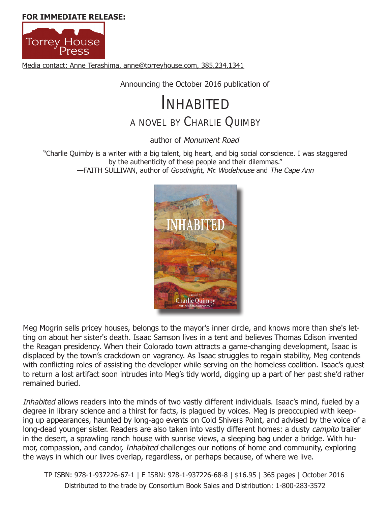**[FOR IMMEDIATE RELE](http://torreyhouse.com/)ASE:**



Media contact: Anne Terashima, anne@torreyhouse.com, 385.234.1341

Announcing the October 2016 publication of

# <sup>A</sup> NOVEL BY CHARLIE QUIMBY INHABITED

author of *Monument Road*

"Charlie Quimby is a writer with a big talent, big heart, and big social conscience. I was staggered by the authenticity of these people and their dilemmas." —FAITH SULLIVAN, author of *Goodnight, Mr. Wodehouse* and *The Cape Ann*



Meg Mogrin sells pricey houses, belongs to the mayor's inner circle, and knows more than she's letting on about her sister's death. Isaac Samson lives in a tent and believes Thomas Edison invented the Reagan presidency. When their Colorado town attracts a game-changing development, Isaac is displaced by the town's crackdown on vagrancy. As Isaac struggles to regain stability, Meg contends with conflicting roles of assisting the developer while serving on the homeless coalition. Isaac's quest to return a lost artifact soon intrudes into Meg's tidy world, digging up a part of her past she'd rather remained buried.

*Inhabited* allows readers into the minds of two vastly different individuals. Isaac's mind, fueled by a degree in library science and a thirst for facts, is plagued by voices. Meg is preoccupied with keeping up appearances, haunted by long-ago events on Cold Shivers Point, and advised by the voice of a long-dead younger sister. Readers are also taken into vastly different homes: a dusty *campito* trailer in the desert, a sprawling ranch house with sunrise views, a sleeping bag under a bridge. With humor, compassion, and candor, *Inhabited* challenges our notions of home and community, exploring the ways in which our lives overlap, regardless, or perhaps because, of where we live.

TP ISBN: 978-1-937226-67-1 | E ISBN: 978-1-937226-68-8 | \$16.95 | 365 pages | October 2016 Distributed to the trade by Consortium Book Sales and Distribution: 1-800-283-3572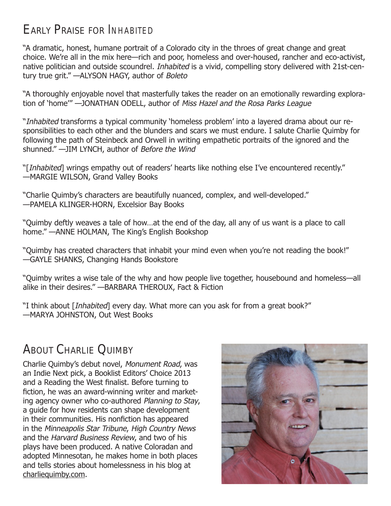### EARLY PRAISE FOR *INHABiTED*

"A dramatic, honest, humane portrait of a Colorado city in the throes of great change and great choice. We're all in the mix here—rich and poor, homeless and over-housed, rancher and eco-activist, native politician and outside scoundrel. *Inhabited* is a vivid, compelling story delivered with 21st-century true grit." —ALYSON HAGY, author of *Boleto*

"A thoroughly enjoyable novel that masterfully takes the reader on an emotionally rewarding exploration of 'home'" —JONATHAN ODELL, author of *Miss Hazel and the Rosa Parks League* 

"*Inhabited* transforms a typical community 'homeless problem' into a layered drama about our responsibilities to each other and the blunders and scars we must endure. I salute Charlie Quimby for following the path of Steinbeck and Orwell in writing empathetic portraits of the ignored and the shunned." —JIM LYNCH, author of *Before the Wind*

"[*Inhabited*] wrings empathy out of readers' hearts like nothing else I've encountered recently." —MARGIE WILSON, Grand Valley Books

"Charlie Quimby's characters are beautifully nuanced, complex, and well-developed." —PAMELA KLINGER-HORN, Excelsior Bay Books

"Quimby deftly weaves a tale of how…at the end of the day, all any of us want is a place to call home." —ANNE HOLMAN, The King's English Bookshop

"Quimby has created characters that inhabit your mind even when you're not reading the book!" —GAYLE SHANKS, Changing Hands Bookstore

"Quimby writes a wise tale of the why and how people live together, housebound and homeless—all alike in their desires." —BARBARA THEROUX, Fact & Fiction

"I think about [*Inhabited*] every day. What more can you ask for from a great book?" —MARYA JOHNSTON, Out West Books

## ABOUT CHARLIE QUIMBY

Charlie Quimby's debut novel, *Monument Road*, was an Indie Next pick, a Booklist Editors' Choice 2013 and a Reading the West finalist. Before turning to fiction, he was an award-winning writer and marketing agency owner who co-authored *Planning to Stay*, a guide for how residents can shape development in their communities. His nonfiction has appeared in the *Minneapolis Star Tribune*, *High Country News* and the *Harvard Business Review*, and two of his plays have been produced. A native Coloradan and adopted Minnesotan, he makes home in both places and tells stories about homelessness in his blog at [charliequimby.com](http://greatdivide.typepad.com/charlie_quimby/).